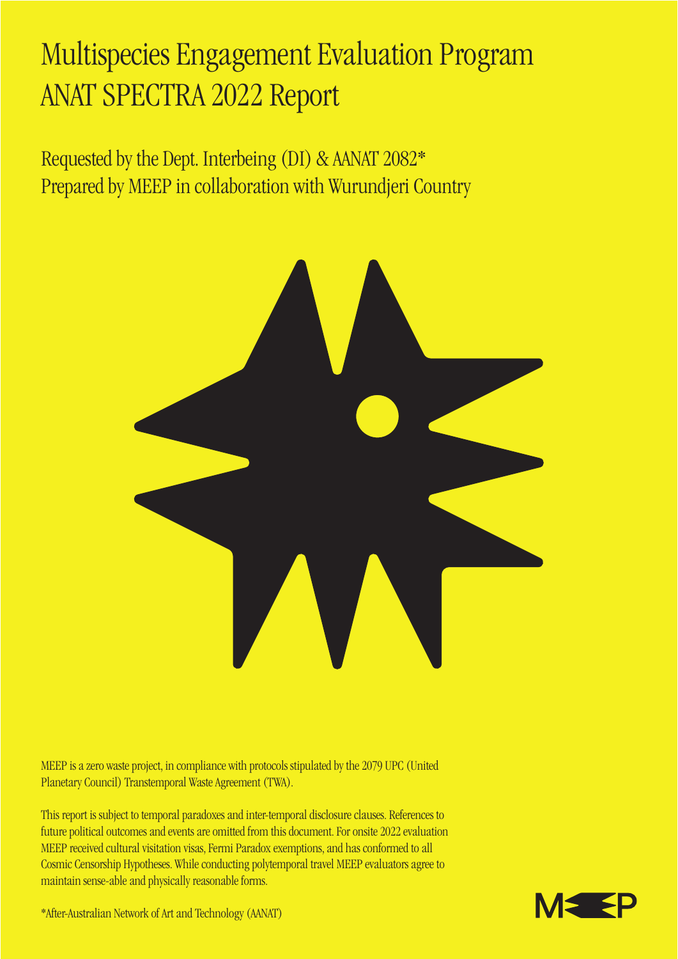## Multispecies Engagement Evaluation Program ANAT SPECTRA 2022 Report

Requested by the Dept. Interbeing (DI) & AANAT 2082\* Prepared by MEEP in collaboration with Wurundjeri Country



MEEP is a zero waste project, in compliance with protocols stipulated by the 2079 UPC (United Planetary Council) Transtemporal Waste Agreement (TWA).

This report is subject to temporal paradoxes and inter-temporal disclosure clauses. References to future political outcomes and events are omitted from this document. For onsite 2022 evaluation MEEP received cultural visitation visas, Fermi Paradox exemptions, and has conformed to all Cosmic Censorship Hypotheses. While conducting polytemporal travel MEEP evaluators agree to maintain sense-able and physically reasonable forms.



\*After-Australian Network of Art and Technology (AANAT)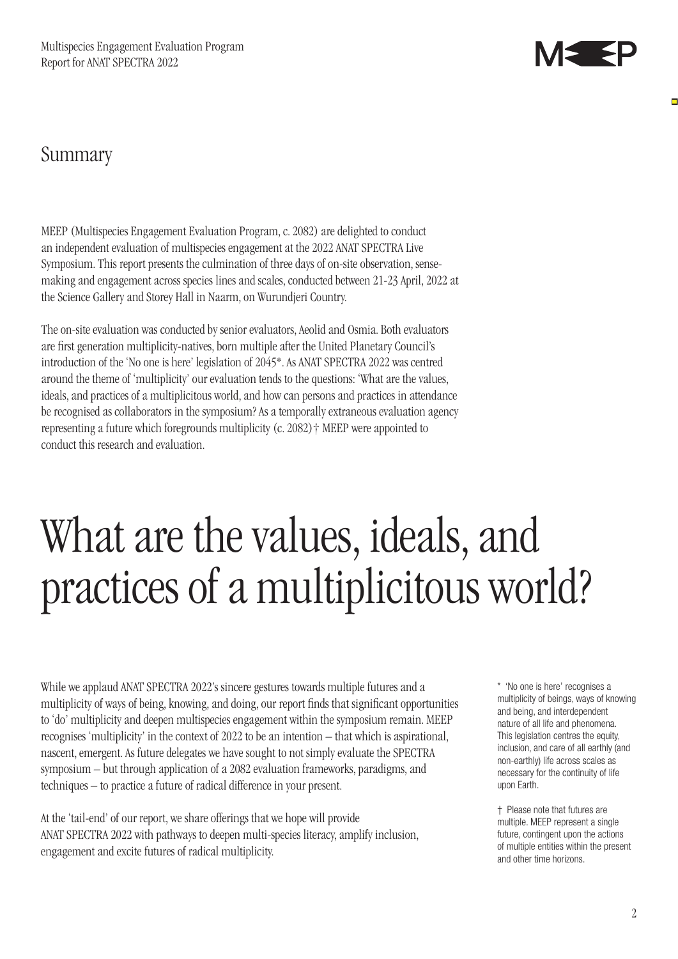

Ē

### Summary

MEEP (Multispecies Engagement Evaluation Program, c. 2082) are delighted to conduct an independent evaluation of multispecies engagement at the 2022 ANAT SPECTRA Live Symposium. This report presents the culmination of three days of on-site observation, sensemaking and engagement across species lines and scales, conducted between 21-23 April, 2022 at the Science Gallery and Storey Hall in Naarm, on Wurundjeri Country.

The on-site evaluation was conducted by senior evaluators, Aeolid and Osmia. Both evaluators are first generation multiplicity-natives, born multiple after the United Planetary Council's introduction of the 'No one is here' legislation of 2045\*. As ANAT SPECTRA 2022 was centred around the theme of 'multiplicity' our evaluation tends to the questions: 'What are the values, ideals, and practices of a multiplicitous world, and how can persons and practices in attendance be recognised as collaborators in the symposium? As a temporally extraneous evaluation agency representing a future which foregrounds multiplicity (c. 2082)† MEEP were appointed to conduct this research and evaluation.

# What are the values, ideals, and practices of a multiplicitous world?

While we applaud ANAT SPECTRA 2022's sincere gestures towards multiple futures and a multiplicity of ways of being, knowing, and doing, our report finds that significant opportunities to 'do' multiplicity and deepen multispecies engagement within the symposium remain. MEEP recognises 'multiplicity' in the context of 2022 to be an intention – that which is aspirational, nascent, emergent. As future delegates we have sought to not simply evaluate the SPECTRA symposium – but through application of a 2082 evaluation frameworks, paradigms, and techniques – to practice a future of radical difference in your present.

At the 'tail-end' of our report, we share offerings that we hope will provide ANAT SPECTRA 2022 with pathways to deepen multi-species literacy, amplify inclusion, engagement and excite futures of radical multiplicity.

\* 'No one is here' recognises a multiplicity of beings, ways of knowing and being, and interdependent nature of all life and phenomena. This legislation centres the equity, inclusion, and care of all earthly (and non-earthly) life across scales as necessary for the continuity of life upon Earth.

† Please note that futures are multiple. MEEP represent a single future, contingent upon the actions of multiple entities within the present and other time horizons.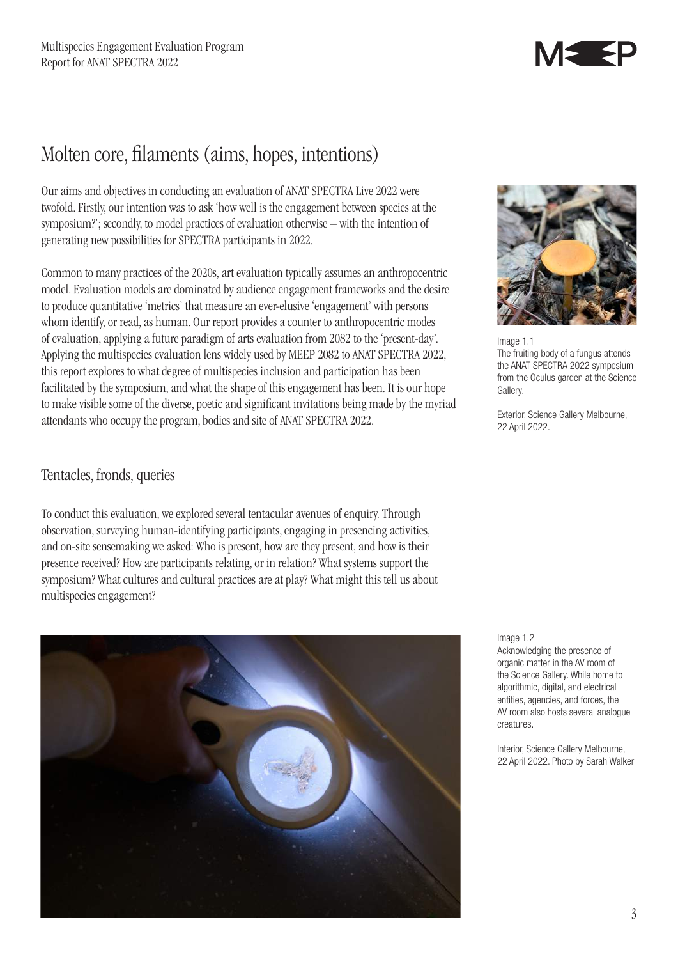

### Molten core, filaments (aims, hopes, intentions)

Our aims and objectives in conducting an evaluation of ANAT SPECTRA Live 2022 were twofold. Firstly, our intention was to ask 'how well is the engagement between species at the symposium?'; secondly, to model practices of evaluation otherwise – with the intention of generating new possibilities for SPECTRA participants in 2022.

Common to many practices of the 2020s, art evaluation typically assumes an anthropocentric model. Evaluation models are dominated by audience engagement frameworks and the desire to produce quantitative 'metrics' that measure an ever-elusive 'engagement' with persons whom identify, or read, as human. Our report provides a counter to anthropocentric modes of evaluation, applying a future paradigm of arts evaluation from 2082 to the 'present-day'. Applying the multispecies evaluation lens widely used by MEEP 2082 to ANAT SPECTRA 2022, this report explores to what degree of multispecies inclusion and participation has been facilitated by the symposium, and what the shape of this engagement has been. It is our hope to make visible some of the diverse, poetic and significant invitations being made by the myriad attendants who occupy the program, bodies and site of ANAT SPECTRA 2022.

### Tentacles, fronds, queries

To conduct this evaluation, we explored several tentacular avenues of enquiry. Through observation, surveying human-identifying participants, engaging in presencing activities, and on-site sensemaking we asked: Who is present, how are they present, and how is their presence received? How are participants relating, or in relation? What systems support the symposium? What cultures and cultural practices are at play? What might this tell us about multispecies engagement?





Image 1.1 The fruiting body of a fungus attends the ANAT SPECTRA 2022 symposium from the Oculus garden at the Science Gallery.

Exterior, Science Gallery Melbourne, 22 April 2022.

Image 1.2

Acknowledging the presence of organic matter in the AV room of the Science Gallery. While home to algorithmic, digital, and electrical entities, agencies, and forces, the AV room also hosts several analogue creatures.

Interior, Science Gallery Melbourne, 22 April 2022. Photo by Sarah Walker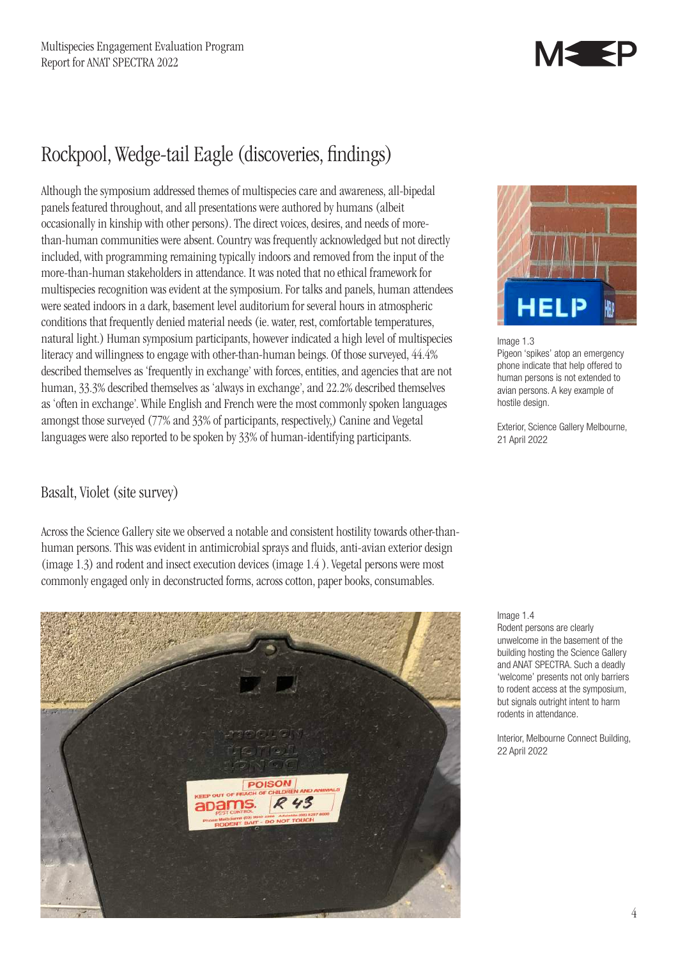

### Rockpool, Wedge-tail Eagle (discoveries, findings)

Although the symposium addressed themes of multispecies care and awareness, all-bipedal panels featured throughout, and all presentations were authored by humans (albeit occasionally in kinship with other persons). The direct voices, desires, and needs of morethan-human communities were absent. Country was frequently acknowledged but not directly included, with programming remaining typically indoors and removed from the input of the more-than-human stakeholders in attendance. It was noted that no ethical framework for multispecies recognition was evident at the symposium. For talks and panels, human attendees were seated indoors in a dark, basement level auditorium for several hours in atmospheric conditions that frequently denied material needs (ie. water, rest, comfortable temperatures, natural light.) Human symposium participants, however indicated a high level of multispecies literacy and willingness to engage with other-than-human beings. Of those surveyed, 44.4% described themselves as 'frequently in exchange' with forces, entities, and agencies that are not human, 33.3% described themselves as 'always in exchange', and 22.2% described themselves as 'often in exchange'. While English and French were the most commonly spoken languages amongst those surveyed (77% and 33% of participants, respectively,) Canine and Vegetal languages were also reported to be spoken by 33% of human-identifying participants.

### Basalt, Violet (site survey)

Across the Science Gallery site we observed a notable and consistent hostility towards other-thanhuman persons. This was evident in antimicrobial sprays and fluids, anti-avian exterior design (image 1.3) and rodent and insect execution devices (image 1.4 ). Vegetal persons were most commonly engaged only in deconstructed forms, across cotton, paper books, consumables.





Image 1.3

Pigeon 'spikes' atop an emergency phone indicate that help offered to human persons is not extended to avian persons. A key example of hostile design.

Exterior, Science Gallery Melbourne, 21 April 2022

#### Image 1.4

Rodent persons are clearly unwelcome in the basement of the building hosting the Science Gallery and ANAT SPECTRA. Such a deadly 'welcome' presents not only barriers to rodent access at the symposium, but signals outright intent to harm rodents in attendance.

Interior, Melbourne Connect Building, 22 April 2022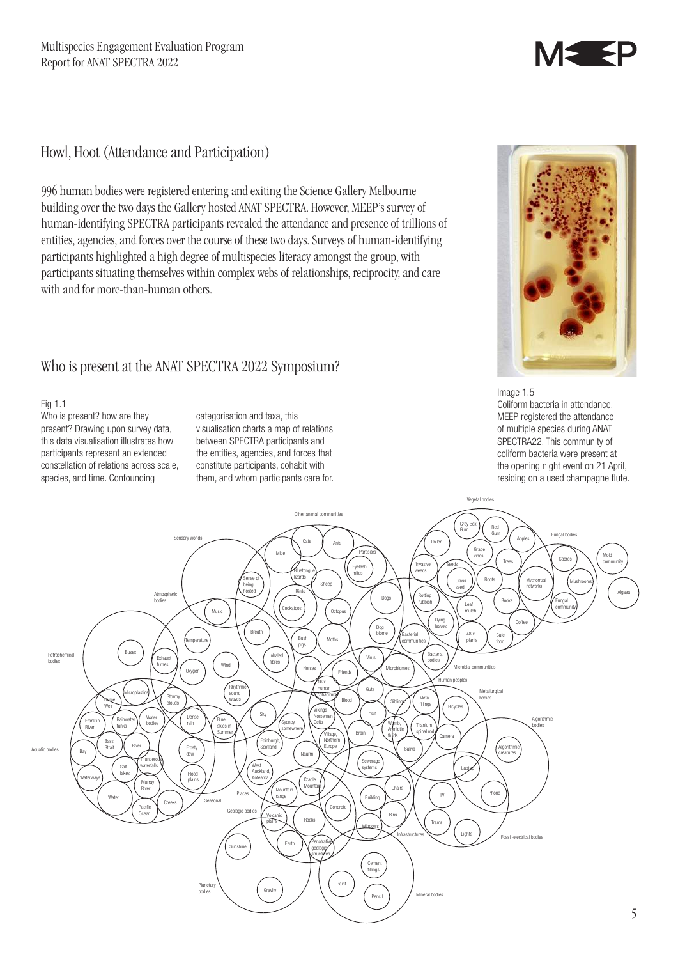## MS SP

### Howl, Hoot (Attendance and Participation)

996 human bodies were registered entering and exiting the Science Gallery Melbourne building over the two days the Gallery hosted ANAT SPECTRA. However, MEEP's survey of human-identifying SPECTRA participants revealed the attendance and presence of trillions of entities, agencies, and forces over the course of these two days. Surveys of human-identifying participants highlighted a high degree of multispecies literacy amongst the group, with participants situating themselves within complex webs of relationships, reciprocity, and care with and for more-than-human others.

### Who is present at the ANAT SPECTRA 2022 Symposium?

#### Fig 1.1

Who is present? how are they present? Drawing upon survey data, this data visualisation illustrates how participants represent an extended constellation of relations across scale, species, and time. Confounding

categorisation and taxa, this visualisation charts a map of relations between SPECTRA participants and the entities, agencies, and forces that constitute participants, cohabit with them, and whom participants care for.



Image 1.5 Coliform bacteria in attendance. MEEP registered the attendance of multiple species during ANAT SPECTRA22. This community of coliform bacteria were present at the opening night event on 21 April, residing on a used champagne flute.

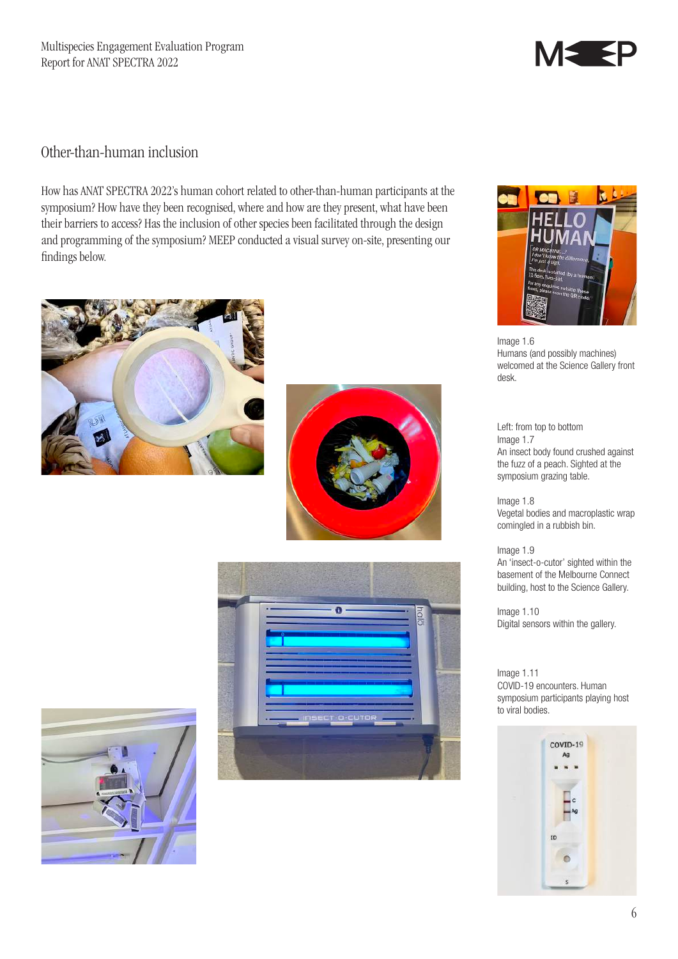

### Other-than-human inclusion

How has ANAT SPECTRA 2022's human cohort related to other-than-human participants at the symposium? How have they been recognised, where and how are they present, what have been their barriers to access? Has the inclusion of other species been facilitated through the design and programming of the symposium? MEEP conducted a visual survey on-site, presenting our findings below.











Image 1.6 Humans (and possibly machines) welcomed at the Science Gallery front desk.

Left: from top to bottom Image 1.7 An insect body found crushed against the fuzz of a peach. Sighted at the symposium grazing table.

Image 1.8 Vegetal bodies and macroplastic wrap comingled in a rubbish bin.

Image 1.9 An 'insect-o-cutor' sighted within the basement of the Melbourne Connect building, host to the Science Gallery.

Image 1.10 Digital sensors within the gallery.

Image 1.11 COVID-19 encounters. Human symposium participants playing host to viral bodies.

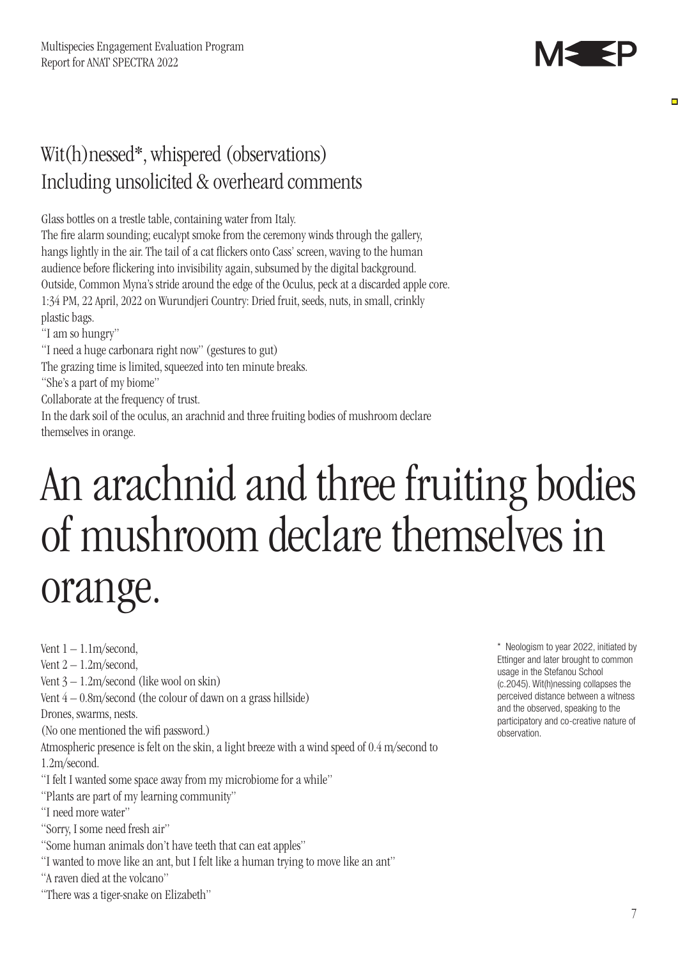

Е

### Wit(h)nessed\*, whispered (observations) Including unsolicited & overheard comments

Glass bottles on a trestle table, containing water from Italy.

The fire alarm sounding; eucalypt smoke from the ceremony winds through the gallery, hangs lightly in the air. The tail of a cat flickers onto Cass' screen, waving to the human audience before flickering into invisibility again, subsumed by the digital background. Outside, Common Myna's stride around the edge of the Oculus, peck at a discarded apple core. 1:34 PM, 22 April, 2022 on Wurundjeri Country: Dried fruit, seeds, nuts, in small, crinkly plastic bags.

"I am so hungry"

"I need a huge carbonara right now" (gestures to gut)

The grazing time is limited, squeezed into ten minute breaks.

"She's a part of my biome"

Collaborate at the frequency of trust.

In the dark soil of the oculus, an arachnid and three fruiting bodies of mushroom declare themselves in orange.

# An arachnid and three fruiting bodies of mushroom declare themselves in orange.

Vent  $1 - 1.1$ m/second, Vent  $2 - 1.2$ m/second, Vent 3 – 1.2m/second (like wool on skin) Vent  $4 - 0.8$ m/second (the colour of dawn on a grass hillside) Drones, swarms, nests. (No one mentioned the wifi password.) Atmospheric presence is felt on the skin, a light breeze with a wind speed of 0.4 m/second to 1.2m/second. "I felt I wanted some space away from my microbiome for a while"

"Plants are part of my learning community"

"I need more water"

"Sorry, I some need fresh air"

"Some human animals don't have teeth that can eat apples"

"I wanted to move like an ant, but I felt like a human trying to move like an ant"

"A raven died at the volcano"

"There was a tiger-snake on Elizabeth"

\* Neologism to year 2022, initiated by Ettinger and later brought to common usage in the Stefanou School (c.2045). Wit(h)nessing collapses the perceived distance between a witness and the observed, speaking to the participatory and co-creative nature of observation.

7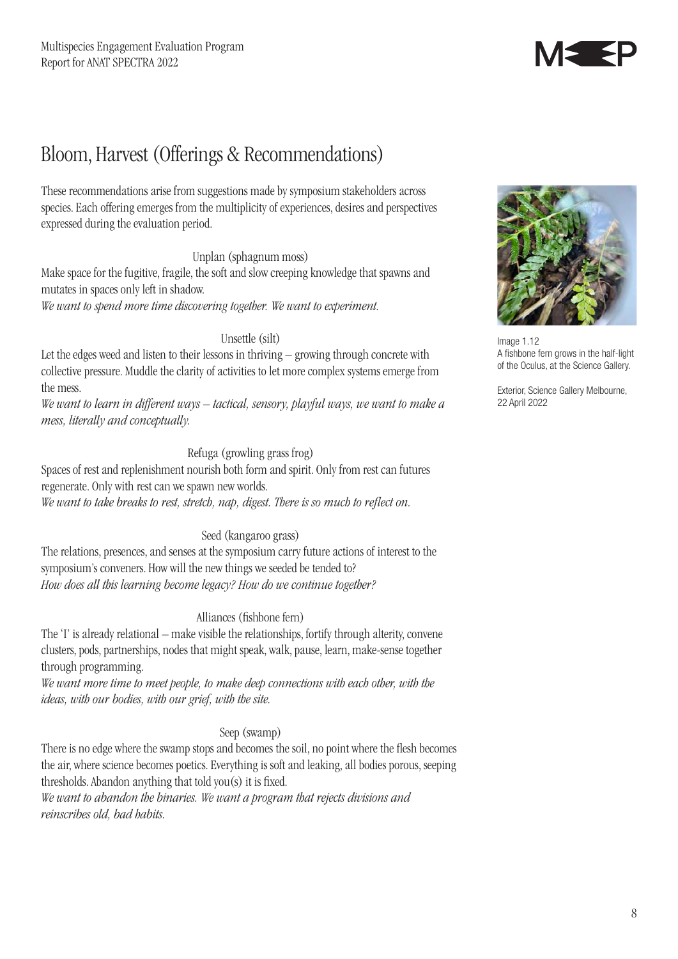

### Bloom, Harvest (Offerings & Recommendations)

These recommendations arise from suggestions made by symposium stakeholders across species. Each offering emerges from the multiplicity of experiences, desires and perspectives expressed during the evaluation period.

### Unplan (sphagnum moss)

Make space for the fugitive, fragile, the soft and slow creeping knowledge that spawns and mutates in spaces only left in shadow.

*We want to spend more time discovering together. We want to experiment.*

### Unsettle (silt)

Let the edges weed and listen to their lessons in thriving – growing through concrete with collective pressure. Muddle the clarity of activities to let more complex systems emerge from the mess.

*We want to learn in different ways – tactical, sensory, playful ways, we want to make a mess, literally and conceptually.*

#### Refuga (growling grass frog)

Spaces of rest and replenishment nourish both form and spirit. Only from rest can futures regenerate. Only with rest can we spawn new worlds. *We want to take breaks to rest, stretch, nap, digest. There is so much to reflect on.*

#### Seed (kangaroo grass)

The relations, presences, and senses at the symposium carry future actions of interest to the symposium's conveners. How will the new things we seeded be tended to? *How does all this learning become legacy? How do we continue together?* 

#### Alliances (fishbone fern)

The 'I' is already relational – make visible the relationships, fortify through alterity, convene clusters, pods, partnerships, nodes that might speak, walk, pause, learn, make-sense together through programming.

*We want more time to meet people, to make deep connections with each other, with the ideas, with our bodies, with our grief, with the site.*

### Seep (swamp)

There is no edge where the swamp stops and becomes the soil, no point where the flesh becomes the air, where science becomes poetics. Everything is soft and leaking, all bodies porous, seeping thresholds. Abandon anything that told you(s) it is fixed.

*We want to abandon the binaries. We want a program that rejects divisions and reinscribes old, bad habits.*



Image 1.12 A fishbone fern grows in the half-light of the Oculus, at the Science Gallery.

Exterior, Science Gallery Melbourne, 22 April 2022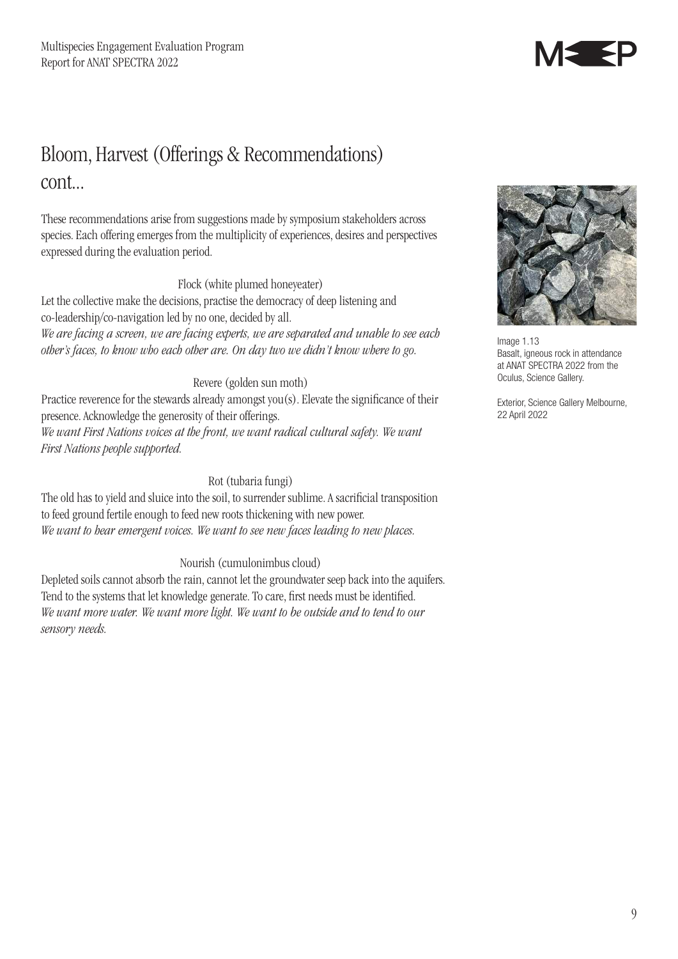

### Bloom, Harvest (Offerings & Recommendations) cont...

These recommendations arise from suggestions made by symposium stakeholders across species. Each offering emerges from the multiplicity of experiences, desires and perspectives expressed during the evaluation period.

### Flock (white plumed honeyeater)

Let the collective make the decisions, practise the democracy of deep listening and co-leadership/co-navigation led by no one, decided by all. *We are facing a screen, we are facing experts, we are separated and unable to see each other's faces, to know who each other are. On day two we didn't know where to go.*

### Revere (golden sun moth)

Practice reverence for the stewards already amongst you(s). Elevate the significance of their presence. Acknowledge the generosity of their offerings. *We want First Nations voices at the front, we want radical cultural safety. We want First Nations people supported.*

### Rot (tubaria fungi)

The old has to yield and sluice into the soil, to surrender sublime. A sacrificial transposition to feed ground fertile enough to feed new roots thickening with new power. *We want to hear emergent voices. We want to see new faces leading to new places.*

### Nourish (cumulonimbus cloud)

Depleted soils cannot absorb the rain, cannot let the groundwater seep back into the aquifers. Tend to the systems that let knowledge generate. To care, first needs must be identified. *We want more water. We want more light. We want to be outside and to tend to our sensory needs.*



Image 1.13 Basalt, igneous rock in attendance at ANAT SPECTRA 2022 from the Oculus, Science Gallery.

Exterior, Science Gallery Melbourne, 22 April 2022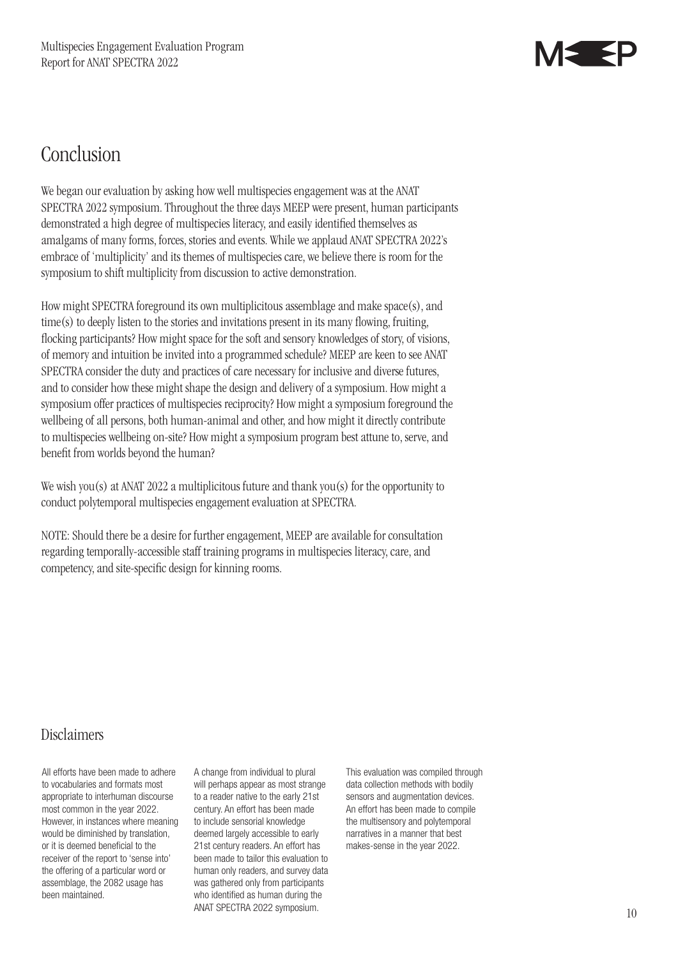

### Conclusion

We began our evaluation by asking how well multispecies engagement was at the ANAT SPECTRA 2022 symposium. Throughout the three days MEEP were present, human participants demonstrated a high degree of multispecies literacy, and easily identified themselves as amalgams of many forms, forces, stories and events. While we applaud ANAT SPECTRA 2022's embrace of 'multiplicity' and its themes of multispecies care, we believe there is room for the symposium to shift multiplicity from discussion to active demonstration.

How might SPECTRA foreground its own multiplicitous assemblage and make space(s), and time(s) to deeply listen to the stories and invitations present in its many flowing, fruiting, flocking participants? How might space for the soft and sensory knowledges of story, of visions, of memory and intuition be invited into a programmed schedule? MEEP are keen to see ANAT SPECTRA consider the duty and practices of care necessary for inclusive and diverse futures, and to consider how these might shape the design and delivery of a symposium. How might a symposium offer practices of multispecies reciprocity? How might a symposium foreground the wellbeing of all persons, both human-animal and other, and how might it directly contribute to multispecies wellbeing on-site? How might a symposium program best attune to, serve, and benefit from worlds beyond the human?

We wish you(s) at ANAT 2022 a multiplicitous future and thank you(s) for the opportunity to conduct polytemporal multispecies engagement evaluation at SPECTRA.

NOTE: Should there be a desire for further engagement, MEEP are available for consultation regarding temporally-accessible staff training programs in multispecies literacy, care, and competency, and site-specific design for kinning rooms.

### Disclaimers

All efforts have been made to adhere to vocabularies and formats most appropriate to interhuman discourse most common in the year 2022. However, in instances where meaning would be diminished by translation, or it is deemed beneficial to the receiver of the report to 'sense into' the offering of a particular word or assemblage, the 2082 usage has been maintained.

A change from individual to plural will perhaps appear as most strange to a reader native to the early 21st century. An effort has been made to include sensorial knowledge deemed largely accessible to early 21st century readers. An effort has been made to tailor this evaluation to human only readers, and survey data was gathered only from participants who identified as human during the ANAT SPECTRA 2022 symposium.

This evaluation was compiled through data collection methods with bodily sensors and augmentation devices. An effort has been made to compile the multisensory and polytemporal narratives in a manner that best makes-sense in the year 2022.